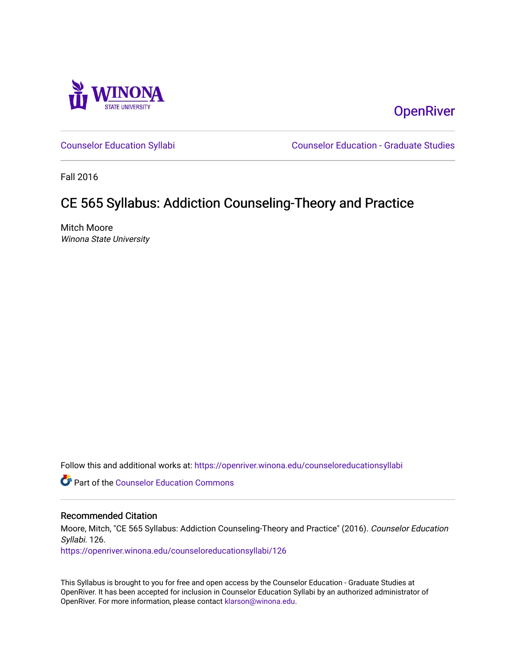

**OpenRiver** 

[Counselor Education Syllabi](https://openriver.winona.edu/counseloreducationsyllabi) [Counselor Education - Graduate Studies](https://openriver.winona.edu/counseloreducation) 

Fall 2016

# CE 565 Syllabus: Addiction Counseling-Theory and Practice

Mitch Moore Winona State University

Follow this and additional works at: [https://openriver.winona.edu/counseloreducationsyllabi](https://openriver.winona.edu/counseloreducationsyllabi?utm_source=openriver.winona.edu%2Fcounseloreducationsyllabi%2F126&utm_medium=PDF&utm_campaign=PDFCoverPages)

**C** Part of the Counselor Education Commons

#### Recommended Citation

Moore, Mitch, "CE 565 Syllabus: Addiction Counseling-Theory and Practice" (2016). Counselor Education Syllabi. 126.

[https://openriver.winona.edu/counseloreducationsyllabi/126](https://openriver.winona.edu/counseloreducationsyllabi/126?utm_source=openriver.winona.edu%2Fcounseloreducationsyllabi%2F126&utm_medium=PDF&utm_campaign=PDFCoverPages)

This Syllabus is brought to you for free and open access by the Counselor Education - Graduate Studies at OpenRiver. It has been accepted for inclusion in Counselor Education Syllabi by an authorized administrator of OpenRiver. For more information, please contact [klarson@winona.edu](mailto:klarson@winona.edu).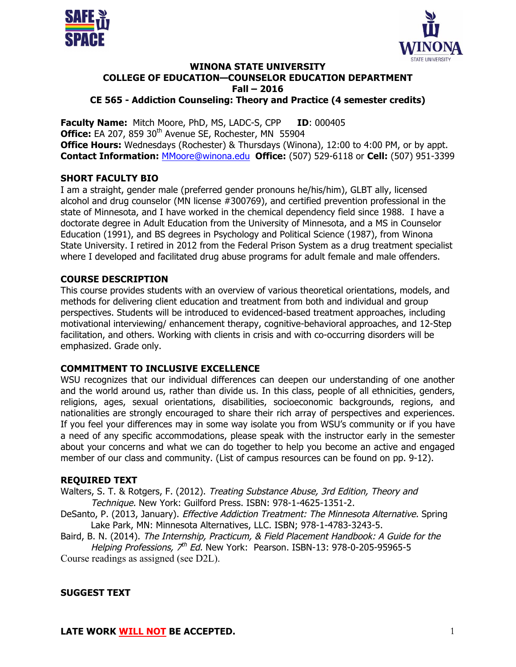



#### **WINONA STATE UNIVERSITY COLLEGE OF EDUCATION—COUNSELOR EDUCATION DEPARTMENT Fall – 2016 CE 565 - Addiction Counseling: Theory and Practice (4 semester credits)**

**Faculty Name:** Mitch Moore, PhD, MS, LADC-S, CPP **ID**: 000405 Office: EA 207, 859 30<sup>th</sup> Avenue SE, Rochester, MN 55904 **Office Hours:** Wednesdays (Rochester) & Thursdays (Winona), 12:00 to 4:00 PM, or by appt. **Contact Information:** MMoore@winona.edu **Office:** (507) 529-6118 or **Cell:** (507) 951-3399

#### **SHORT FACULTY BIO**

I am a straight, gender male (preferred gender pronouns he/his/him), GLBT ally, licensed alcohol and drug counselor (MN license #300769), and certified prevention professional in the state of Minnesota, and I have worked in the chemical dependency field since 1988. I have a doctorate degree in Adult Education from the University of Minnesota, and a MS in Counselor Education (1991), and BS degrees in Psychology and Political Science (1987), from Winona State University. I retired in 2012 from the Federal Prison System as a drug treatment specialist where I developed and facilitated drug abuse programs for adult female and male offenders.

## **COURSE DESCRIPTION**

This course provides students with an overview of various theoretical orientations, models, and methods for delivering client education and treatment from both and individual and group perspectives. Students will be introduced to evidenced-based treatment approaches, including motivational interviewing/ enhancement therapy, cognitive-behavioral approaches, and 12-Step facilitation, and others. Working with clients in crisis and with co-occurring disorders will be emphasized. Grade only.

#### **COMMITMENT TO INCLUSIVE EXCELLENCE**

WSU recognizes that our individual differences can deepen our understanding of one another and the world around us, rather than divide us. In this class, people of all ethnicities, genders, religions, ages, sexual orientations, disabilities, socioeconomic backgrounds, regions, and nationalities are strongly encouraged to share their rich array of perspectives and experiences. If you feel your differences may in some way isolate you from WSU's community or if you have a need of any specific accommodations, please speak with the instructor early in the semester about your concerns and what we can do together to help you become an active and engaged member of our class and community. (List of campus resources can be found on pp. 9-12).

#### **REQUIRED TEXT**

Walters, S. T. & Rotgers, F. (2012). Treating Substance Abuse, 3rd Edition, Theory and Technique. New York: Guilford Press. ISBN: 978-1-4625-1351-2.

- DeSanto, P. (2013, January). Effective Addiction Treatment: The Minnesota Alternative. Spring Lake Park, MN: Minnesota Alternatives, LLC. ISBN; 978-1-4783-3243-5.
- Baird, B. N. (2014). The Internship, Practicum, & Field Placement Handbook: A Guide for the Helping Professions,  $7<sup>th</sup>$  Ed. New York: Pearson. ISBN-13: 978-0-205-95965-5

Course readings as assigned (see D2L).

# **SUGGEST TEXT**

**LATE WORK WILL NOT BE ACCEPTED.** 1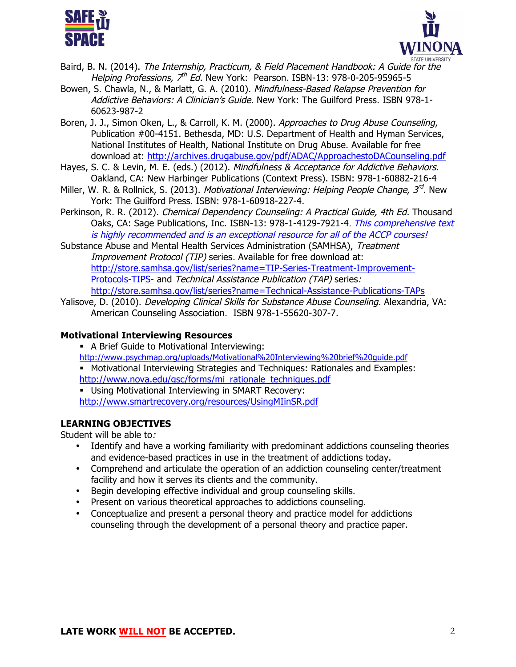



- Baird, B. N. (2014). The Internship, Practicum, & Field Placement Handbook: A Guide for the Helping Professions,  $7<sup>th</sup>$  Ed. New York: Pearson. ISBN-13: 978-0-205-95965-5
- Bowen, S. Chawla, N., & Marlatt, G. A. (2010). Mindfulness-Based Relapse Prevention for Addictive Behaviors: A Clinician's Guide. New York: The Guilford Press. ISBN 978-1-60623-987-2
- Boren, J. J., Simon Oken, L., & Carroll, K. M. (2000). Approaches to Drug Abuse Counseling, Publication #00-4151. Bethesda, MD: U.S. Department of Health and Hyman Services, National Institutes of Health, National Institute on Drug Abuse. Available for free download at: http://archives.drugabuse.gov/pdf/ADAC/ApproachestoDACounseling.pdf
- Hayes, S. C. & Levin, M. E. (eds.) (2012). Mindfulness & Acceptance for Addictive Behaviors. Oakland, CA: New Harbinger Publications (Context Press). ISBN: 978-1-60882-216-4
- Miller, W. R. & Rollnick, S. (2013). Motivational Interviewing: Helping People Change,  $3^{rd}$ . New York: The Guilford Press. ISBN: 978-1-60918-227-4.
- Perkinson, R. R. (2012). Chemical Dependency Counseling: A Practical Guide, 4th Ed. Thousand Oaks, CA: Sage Publications, Inc. ISBN-13: 978-1-4129-7921-4. This comprehensive text is highly recommended and is an exceptional resource for all of the ACCP courses!

Substance Abuse and Mental Health Services Administration (SAMHSA), Treatment Improvement Protocol (TIP) series. Available for free download at: http://store.samhsa.gov/list/series?name=TIP-Series-Treatment-Improvement-Protocols-TIPS- and Technical Assistance Publication (TAP) series: http://store.samhsa.gov/list/series?name=Technical-Assistance-Publications-TAPs

Yalisove, D. (2010). *Developing Clinical Skills for Substance Abuse Counseling*. Alexandria, VA: American Counseling Association. ISBN 978-1-55620-307-7.

# **Motivational Interviewing Resources**

- A Brief Guide to Motivational Interviewing:
- http://www.psychmap.org/uploads/Motivational%20Interviewing%20brief%20guide.pdf
- § Motivational Interviewing Strategies and Techniques: Rationales and Examples: http://www.nova.edu/gsc/forms/mi\_rationale\_techniques.pdf
- § Using Motivational Interviewing in SMART Recovery: http://www.smartrecovery.org/resources/UsingMIinSR.pdf

# **LEARNING OBJECTIVES**

Student will be able to:

- Identify and have a working familiarity with predominant addictions counseling theories and evidence-based practices in use in the treatment of addictions today.
- Comprehend and articulate the operation of an addiction counseling center/treatment facility and how it serves its clients and the community.
- Begin developing effective individual and group counseling skills.
- Present on various theoretical approaches to addictions counseling.
- Conceptualize and present a personal theory and practice model for addictions counseling through the development of a personal theory and practice paper.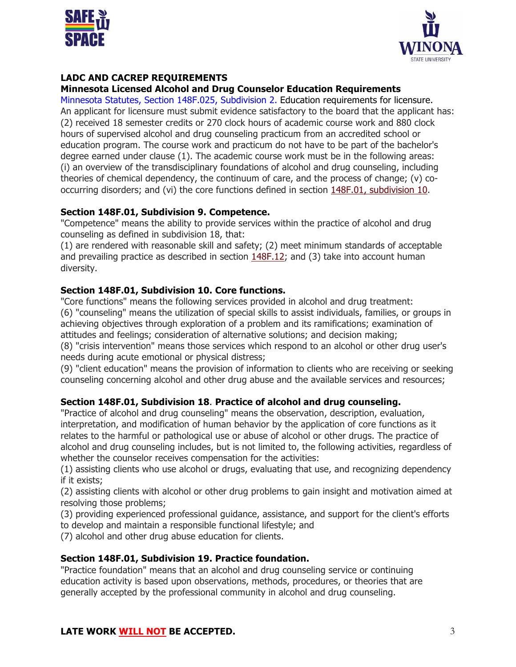



# **LADC AND CACREP REQUIREMENTS**

#### **Minnesota Licensed Alcohol and Drug Counselor Education Requirements**

Minnesota Statutes, Section 148F.025, Subdivision 2. Education requirements for licensure. An applicant for licensure must submit evidence satisfactory to the board that the applicant has: (2) received 18 semester credits or 270 clock hours of academic course work and 880 clock hours of supervised alcohol and drug counseling practicum from an accredited school or education program. The course work and practicum do not have to be part of the bachelor's degree earned under clause (1). The academic course work must be in the following areas: (i) an overview of the transdisciplinary foundations of alcohol and drug counseling, including theories of chemical dependency, the continuum of care, and the process of change; (v) cooccurring disorders; and (vi) the core functions defined in section 148F.01, subdivision 10.

#### **Section 148F.01, Subdivision 9. Competence.**

"Competence" means the ability to provide services within the practice of alcohol and drug counseling as defined in subdivision 18, that:

(1) are rendered with reasonable skill and safety; (2) meet minimum standards of acceptable and prevailing practice as described in section 148F.12; and (3) take into account human diversity.

#### **Section 148F.01, Subdivision 10. Core functions.**

"Core functions" means the following services provided in alcohol and drug treatment: (6) "counseling" means the utilization of special skills to assist individuals, families, or groups in achieving objectives through exploration of a problem and its ramifications; examination of attitudes and feelings; consideration of alternative solutions; and decision making; (8) "crisis intervention" means those services which respond to an alcohol or other drug user's needs during acute emotional or physical distress;

(9) "client education" means the provision of information to clients who are receiving or seeking counseling concerning alcohol and other drug abuse and the available services and resources;

#### **Section 148F.01, Subdivision 18**. **Practice of alcohol and drug counseling.**

"Practice of alcohol and drug counseling" means the observation, description, evaluation, interpretation, and modification of human behavior by the application of core functions as it relates to the harmful or pathological use or abuse of alcohol or other drugs. The practice of alcohol and drug counseling includes, but is not limited to, the following activities, regardless of whether the counselor receives compensation for the activities:

(1) assisting clients who use alcohol or drugs, evaluating that use, and recognizing dependency if it exists;

(2) assisting clients with alcohol or other drug problems to gain insight and motivation aimed at resolving those problems;

(3) providing experienced professional guidance, assistance, and support for the client's efforts to develop and maintain a responsible functional lifestyle; and

(7) alcohol and other drug abuse education for clients.

#### **Section 148F.01, Subdivision 19. Practice foundation.**

"Practice foundation" means that an alcohol and drug counseling service or continuing education activity is based upon observations, methods, procedures, or theories that are generally accepted by the professional community in alcohol and drug counseling.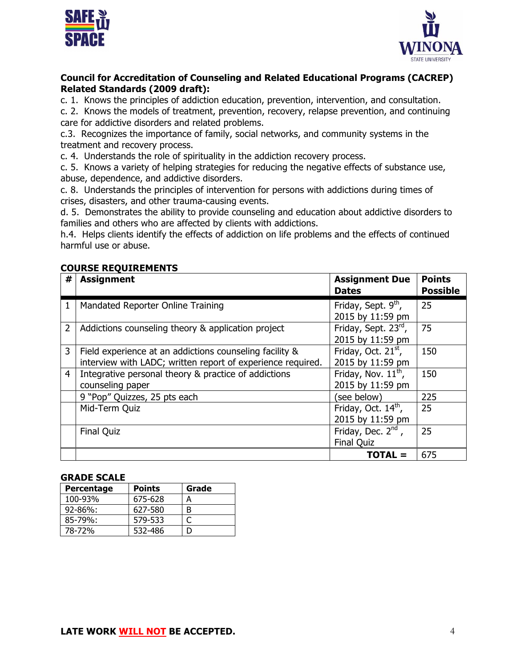



# **Council for Accreditation of Counseling and Related Educational Programs (CACREP) Related Standards (2009 draft):**

c. 1. Knows the principles of addiction education, prevention, intervention, and consultation.

c. 2. Knows the models of treatment, prevention, recovery, relapse prevention, and continuing care for addictive disorders and related problems.

c.3. Recognizes the importance of family, social networks, and community systems in the treatment and recovery process.

c. 4. Understands the role of spirituality in the addiction recovery process.

c. 5. Knows a variety of helping strategies for reducing the negative effects of substance use, abuse, dependence, and addictive disorders.

c. 8. Understands the principles of intervention for persons with addictions during times of crises, disasters, and other trauma-causing events.

d. 5. Demonstrates the ability to provide counseling and education about addictive disorders to families and others who are affected by clients with addictions.

h.4. Helps clients identify the effects of addiction on life problems and the effects of continued harmful use or abuse.

# **COURSE REQUIREMENTS**

| #              | <b>Assignment</b>                                                                                                      | <b>Assignment Due</b><br><b>Dates</b>               | <b>Points</b><br><b>Possible</b> |
|----------------|------------------------------------------------------------------------------------------------------------------------|-----------------------------------------------------|----------------------------------|
| 1              | Mandated Reporter Online Training                                                                                      | Friday, Sept. 9 <sup>th</sup> ,<br>2015 by 11:59 pm | 25                               |
| $\overline{2}$ | Addictions counseling theory & application project                                                                     | Friday, Sept. 23rd,<br>2015 by 11:59 pm             | 75                               |
| 3              | Field experience at an addictions counseling facility &<br>interview with LADC; written report of experience required. | Friday, Oct. 21 <sup>st</sup> ,<br>2015 by 11:59 pm | 150                              |
| 4              | Integrative personal theory & practice of addictions<br>counseling paper                                               | Friday, Nov. $11^{th}$ ,<br>2015 by 11:59 pm        | 150                              |
|                | 9 "Pop" Quizzes, 25 pts each                                                                                           | (see below)                                         | 225                              |
|                | Mid-Term Quiz                                                                                                          | Friday, Oct. 14 <sup>th</sup> ,<br>2015 by 11:59 pm | 25                               |
|                | <b>Final Quiz</b>                                                                                                      | Friday, Dec. $2^{nd}$ ,<br><b>Final Quiz</b>        | 25                               |
|                |                                                                                                                        | <b>TOTAL =</b>                                      | 675                              |

#### **GRADE SCALE**

| Percentage    | <b>Points</b> | Grade |
|---------------|---------------|-------|
| 100-93%       | 675-628       | А     |
| $92 - 86\%$ : | 627-580       | R     |
| $85 - 79\%$ : | 579-533       |       |
| 78-72%        | 532-486       |       |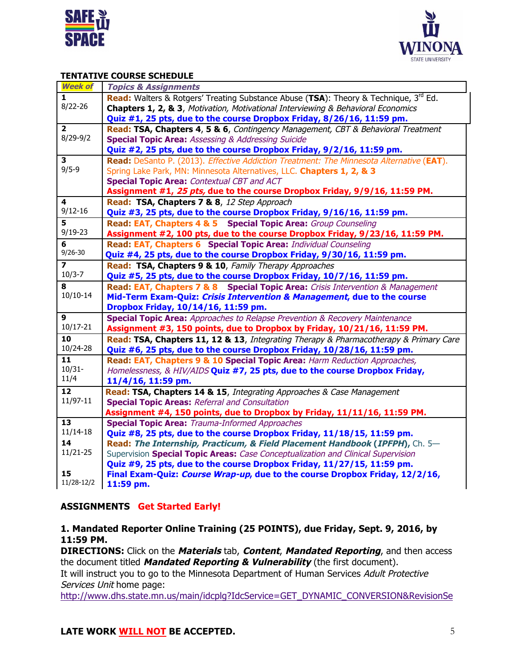



#### **TENTATIVE COURSE SCHEDULE**

| <b>Week of</b>          | <b>Topics &amp; Assignments</b>                                                             |
|-------------------------|---------------------------------------------------------------------------------------------|
| $\mathbf{1}$            | <b>Read:</b> Walters & Rotgers' Treating Substance Abuse (TSA): Theory & Technique, 3rd Ed. |
| $8/22 - 26$             | Chapters 1, 2, & 3, Motivation, Motivational Interviewing & Behavioral Economics            |
|                         | Quiz #1, 25 pts, due to the course Dropbox Friday, 8/26/16, 11:59 pm.                       |
| $\overline{2}$          | Read: TSA, Chapters 4, 5 & 6, Contingency Management, CBT & Behavioral Treatment            |
| $8/29 - 9/2$            | <b>Special Topic Area: Assessing &amp; Addressing Suicide</b>                               |
|                         | Quiz #2, 25 pts, due to the course Dropbox Friday, 9/2/16, 11:59 pm.                        |
| $\mathbf{3}$            | Read: DeSanto P. (2013). Effective Addiction Treatment: The Minnesota Alternative (EAT).    |
| $9/5 - 9$               | Spring Lake Park, MN: Minnesota Alternatives, LLC. Chapters 1, 2, & 3                       |
|                         | <b>Special Topic Area: Contextual CBT and ACT</b>                                           |
|                         | Assignment #1, 25 pts, due to the course Dropbox Friday, 9/9/16, 11:59 PM.                  |
| 4                       | Read: TSA, Chapters 7 & 8, 12 Step Approach                                                 |
| $9/12 - 16$             | Quiz #3, 25 pts, due to the course Dropbox Friday, 9/16/16, 11:59 pm.                       |
| 5                       | Read: EAT, Chapters 4 & 5 Special Topic Area: Group Counseling                              |
| $9/19 - 23$             | Assignment #2, 100 pts, due to the course Dropbox Friday, 9/23/16, 11:59 PM.                |
| 6                       | Read: EAT, Chapters 6 Special Topic Area: Individual Counseling                             |
| $9/26 - 30$             | Quiz #4, 25 pts, due to the course Dropbox Friday, 9/30/16, 11:59 pm.                       |
| $\overline{\mathbf{z}}$ | Read: TSA, Chapters 9 & 10, Family Therapy Approaches                                       |
| $10/3 - 7$              | Quiz #5, 25 pts, due to the course Dropbox Friday, 10/7/16, 11:59 pm.                       |
| 8                       | Read: EAT, Chapters 7 & 8 Special Topic Area: Crisis Intervention & Management              |
| $10/10-14$              | Mid-Term Exam-Quiz: Crisis Intervention & Management, due to the course                     |
|                         | Dropbox Friday, 10/14/16, 11:59 pm.                                                         |
| 9                       | <b>Special Topic Area:</b> Approaches to Relapse Prevention & Recovery Maintenance          |
| 10/17-21                | Assignment #3, 150 points, due to Dropbox by Friday, 10/21/16, 11:59 PM.                    |
| 10                      | Read: TSA, Chapters 11, 12 & 13, Integrating Therapy & Pharmacotherapy & Primary Care       |
| 10/24-28                | Quiz #6, 25 pts, due to the course Dropbox Friday, 10/28/16, 11:59 pm.                      |
| 11                      | Read: EAT, Chapters 9 & 10 Special Topic Area: Harm Reduction Approaches,                   |
| $10/31 -$               | Homelessness, & HIV/AIDS Quiz #7, 25 pts, due to the course Dropbox Friday,                 |
| 11/4                    | 11/4/16, 11:59 pm.                                                                          |
| $\overline{12}$         | Read: TSA, Chapters 14 & 15, Integrating Approaches & Case Management                       |
| 11/97-11                | <b>Special Topic Areas: Referral and Consultation</b>                                       |
|                         | Assignment #4, 150 points, due to Dropbox by Friday, 11/11/16, 11:59 PM.                    |
| $\overline{13}$         | <b>Special Topic Area: Trauma-Informed Approaches</b>                                       |
| $11/14-18$              | Quiz #8, 25 pts, due to the course Dropbox Friday, 11/18/15, 11:59 pm.                      |
| 14                      | Read: The Internship, Practicum, & Field Placement Handbook (IPFPH), Ch. 5-                 |
| $11/21 - 25$            | Supervision Special Topic Areas: Case Conceptualization and Clinical Supervision            |
|                         | Quiz #9, 25 pts, due to the course Dropbox Friday, 11/27/15, 11:59 pm.                      |
| 15                      | Final Exam-Quiz: Course Wrap-up, due to the course Dropbox Friday, 12/2/16,                 |
| 11/28-12/2              | 11:59 pm.                                                                                   |

#### **ASSIGNMENTS Get Started Early!**

#### **1. Mandated Reporter Online Training (25 POINTS), due Friday, Sept. 9, 2016, by 11:59 PM.**

**DIRECTIONS:** Click on the **Materials** tab, **Content**, **Mandated Reporting**, and then access the document titled **Mandated Reporting & Vulnerability** (the first document).

It will instruct you to go to the Minnesota Department of Human Services Adult Protective Services Unit home page:

http://www.dhs.state.mn.us/main/idcplg?IdcService=GET\_DYNAMIC\_CONVERSION&RevisionSe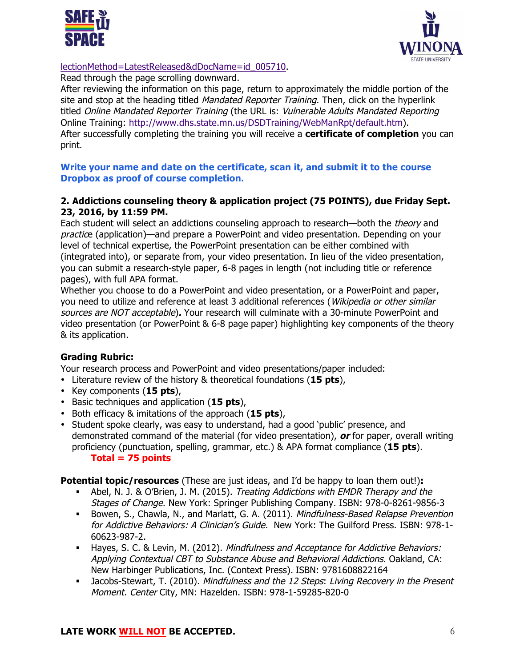



## lectionMethod=LatestReleased&dDocName=id\_005710.

Read through the page scrolling downward.

After reviewing the information on this page, return to approximately the middle portion of the site and stop at the heading titled *Mandated Reporter Training*. Then, click on the hyperlink titled Online Mandated Reporter Training (the URL is: Vulnerable Adults Mandated Reporting Online Training: http://www.dhs.state.mn.us/DSDTraining/WebManRpt/default.htm). After successfully completing the training you will receive a **certificate of completion** you can print.

**Write your name and date on the certificate, scan it, and submit it to the course Dropbox as proof of course completion.**

#### **2. Addictions counseling theory & application project (75 POINTS), due Friday Sept. 23, 2016, by 11:59 PM.**

Each student will select an addictions counseling approach to research—both the *theory* and practice (application)—and prepare a PowerPoint and video presentation. Depending on your level of technical expertise, the PowerPoint presentation can be either combined with (integrated into), or separate from, your video presentation. In lieu of the video presentation, you can submit a research-style paper, 6-8 pages in length (not including title or reference pages), with full APA format.

Whether you choose to do a PowerPoint and video presentation, or a PowerPoint and paper, you need to utilize and reference at least 3 additional references (Wikipedia or other similar sources are NOT acceptable)**.** Your research will culminate with a 30-minute PowerPoint and video presentation (or PowerPoint & 6-8 page paper) highlighting key components of the theory & its application.

# **Grading Rubric:**

Your research process and PowerPoint and video presentations/paper included:

- Literature review of the history & theoretical foundations (**15 pts**),
- Key components (**15 pts**),
- Basic techniques and application (**15 pts**),
- Both efficacy & imitations of the approach (**15 pts**),
- Student spoke clearly, was easy to understand, had a good 'public' presence, and demonstrated command of the material (for video presentation), **or** for paper, overall writing proficiency (punctuation, spelling, grammar, etc.) & APA format compliance (**15 pts**). **Total = 75 points**

**Potential topic/resources** (These are just ideas, and I'd be happy to loan them out!)**:**

- Abel, N. J. & O'Brien, J. M. (2015). Treating Addictions with EMDR Therapy and the Stages of Change. New York: Springer Publishing Company. ISBN: 978-0-8261-9856-3
- <sup>■</sup> Bowen, S., Chawla, N., and Marlatt, G. A. (2011). Mindfulness-Based Relapse Prevention for Addictive Behaviors: A Clinician's Guide. New York: The Guilford Press. ISBN: 978-1-60623-987-2.
- **Hayes, S. C. & Levin, M. (2012). Mindfulness and Acceptance for Addictive Behaviors:** Applying Contextual CBT to Substance Abuse and Behavioral Addictions. Oakland, CA: New Harbinger Publications, Inc. (Context Press). ISBN: 9781608822164
- <sup>■</sup> Jacobs-Stewart, T. (2010). Mindfulness and the 12 Steps: Living Recovery in the Present Moment. Center City, MN: Hazelden. ISBN: 978-1-59285-820-0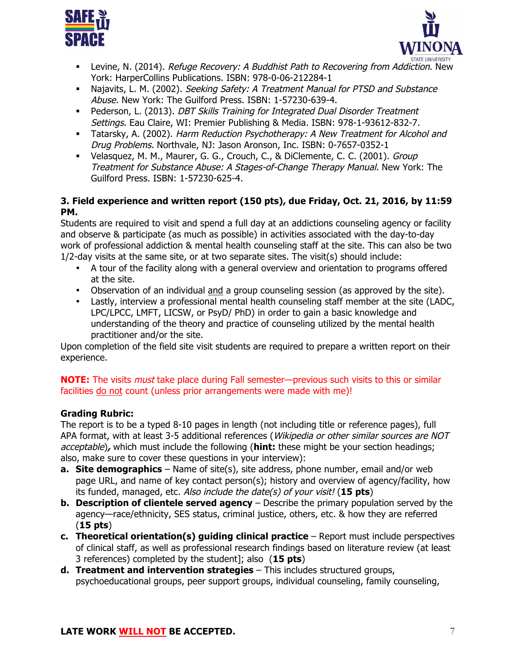



- **■** Levine, N. (2014). Refuge Recovery: A Buddhist Path to Recovering from Addiction. New York: HarperCollins Publications. ISBN: 978-0-06-212284-1
- Najavits, L. M. (2002). Seeking Safety: A Treatment Manual for PTSD and Substance Abuse. New York: The Guilford Press. ISBN: 1-57230-639-4.
- **Pederson, L. (2013). DBT Skills Training for Integrated Dual Disorder Treatment** Settings. Eau Claire, WI: Premier Publishing & Media. ISBN: 978-1-93612-832-7.
- <sup>■</sup> Tatarsky, A. (2002). Harm Reduction Psychotherapy: A New Treatment for Alcohol and Drug Problems. Northvale, NJ: Jason Aronson, Inc. ISBN: 0-7657-0352-1
- <sup>■</sup> Velasquez, M. M., Maurer, G. G., Crouch, C., & DiClemente, C. C. (2001). Group Treatment for Substance Abuse: A Stages-of-Change Therapy Manual. New York: The Guilford Press. ISBN: 1-57230-625-4.

# **3. Field experience and written report (150 pts), due Friday, Oct. 21, 2016, by 11:59 PM.**

Students are required to visit and spend a full day at an addictions counseling agency or facility and observe & participate (as much as possible) in activities associated with the day-to-day work of professional addiction & mental health counseling staff at the site. This can also be two 1/2-day visits at the same site, or at two separate sites. The visit(s) should include:

- A tour of the facility along with a general overview and orientation to programs offered at the site.
- Observation of an individual and a group counseling session (as approved by the site).
- Lastly, interview a professional mental health counseling staff member at the site (LADC, LPC/LPCC, LMFT, LICSW, or PsyD/ PhD) in order to gain a basic knowledge and understanding of the theory and practice of counseling utilized by the mental health practitioner and/or the site.

Upon completion of the field site visit students are required to prepare a written report on their experience.

**NOTE:** The visits must take place during Fall semester—previous such visits to this or similar facilities do not count (unless prior arrangements were made with me)!

# **Grading Rubric:**

The report is to be a typed 8-10 pages in length (not including title or reference pages), full APA format, with at least 3-5 additional references (Wikipedia or other similar sources are NOT acceptable)**,** which must include the following (**hint:** these might be your section headings; also, make sure to cover these questions in your interview):

- **a. Site demographics** Name of site(s), site address, phone number, email and/or web page URL, and name of key contact person(s); history and overview of agency/facility, how its funded, managed, etc. Also include the date(s) of your visit! (**15 pts**)
- **b. Description of clientele served agency** Describe the primary population served by the agency—race/ethnicity, SES status, criminal justice, others, etc. & how they are referred (**15 pts**)
- **c. Theoretical orientation(s) guiding clinical practice** Report must include perspectives of clinical staff, as well as professional research findings based on literature review (at least 3 references) completed by the student]; also (**15 pts**)
- **d. Treatment and intervention strategies** This includes structured groups, psychoeducational groups, peer support groups, individual counseling, family counseling,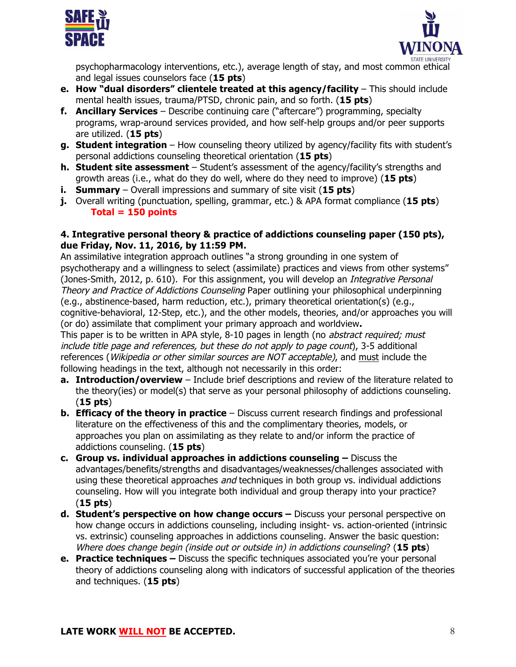



psychopharmacology interventions, etc.), average length of stay, and most common ethical and legal issues counselors face (**15 pts**)

- **e. How "dual disorders" clientele treated at this agency/facility** This should include mental health issues, trauma/PTSD, chronic pain, and so forth. (**15 pts**)
- **f. Ancillary Services** Describe continuing care ("aftercare") programming, specialty programs, wrap-around services provided, and how self-help groups and/or peer supports are utilized. (**15 pts**)
- **g. Student integration** How counseling theory utilized by agency/facility fits with student's personal addictions counseling theoretical orientation (**15 pts**)
- **h. Student site assessment** Student's assessment of the agency/facility's strengths and growth areas (i.e., what do they do well, where do they need to improve) (**15 pts**)
- **i. Summary** Overall impressions and summary of site visit (**15 pts**)
- **j.** Overall writing (punctuation, spelling, grammar, etc.) & APA format compliance (**15 pts**) **Total = 150 points**

# **4. Integrative personal theory & practice of addictions counseling paper (150 pts), due Friday, Nov. 11, 2016, by 11:59 PM.**

An assimilative integration approach outlines "a strong grounding in one system of psychotherapy and a willingness to select (assimilate) practices and views from other systems" (Jones-Smith, 2012, p. 610). For this assignment, you will develop an *Integrative Personal* Theory and Practice of Addictions Counseling Paper outlining your philosophical underpinning (e.g., abstinence-based, harm reduction, etc.), primary theoretical orientation(s) (e.g., cognitive-behavioral, 12-Step, etc.), and the other models, theories, and/or approaches you will (or do) assimilate that compliment your primary approach and worldview**.**

This paper is to be written in APA style, 8-10 pages in length (no abstract required; must include title page and references, but these do not apply to page count), 3-5 additional references (Wikipedia or other similar sources are NOT acceptable), and must include the following headings in the text, although not necessarily in this order:

- **a. Introduction/overview** Include brief descriptions and review of the literature related to the theory(ies) or model(s) that serve as your personal philosophy of addictions counseling. (**15 pts**)
- **b. Efficacy of the theory in practice** Discuss current research findings and professional literature on the effectiveness of this and the complimentary theories, models, or approaches you plan on assimilating as they relate to and/or inform the practice of addictions counseling. (**15 pts**)
- **c. Group vs. individual approaches in addictions counseling –** Discuss the advantages/benefits/strengths and disadvantages/weaknesses/challenges associated with using these theoretical approaches *and* techniques in both group vs. individual addictions counseling. How will you integrate both individual and group therapy into your practice? (**15 pts**)
- **d. Student's perspective on how change occurs –** Discuss your personal perspective on how change occurs in addictions counseling, including insight- vs. action-oriented (intrinsic vs. extrinsic) counseling approaches in addictions counseling. Answer the basic question: Where does change begin (inside out or outside in) in addictions counseling? (**15 pts**)
- **e. Practice techniques –** Discuss the specific techniques associated you're your personal theory of addictions counseling along with indicators of successful application of the theories and techniques. (**15 pts**)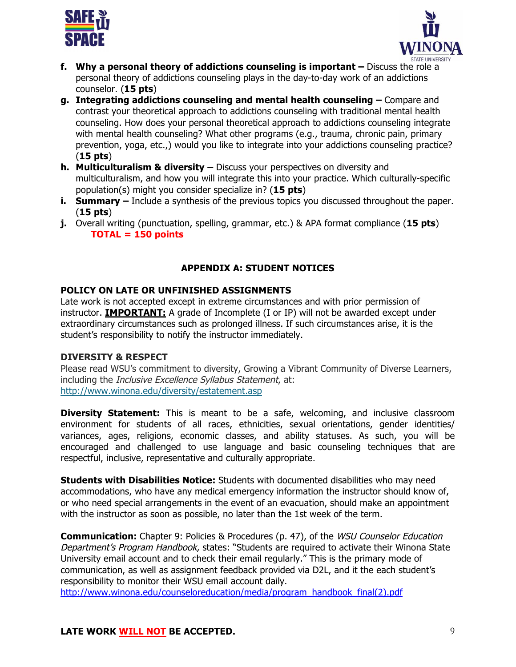



- **f. Why a personal theory of addictions counseling is important –** Discuss the role a personal theory of addictions counseling plays in the day-to-day work of an addictions counselor. (**15 pts**)
- **g. Integrating addictions counseling and mental health counseling –** Compare and contrast your theoretical approach to addictions counseling with traditional mental health counseling. How does your personal theoretical approach to addictions counseling integrate with mental health counseling? What other programs (e.g., trauma, chronic pain, primary prevention, yoga, etc.,) would you like to integrate into your addictions counseling practice? (**15 pts**)
- **h. Multiculturalism & diversity –** Discuss your perspectives on diversity and multiculturalism, and how you will integrate this into your practice. Which culturally-specific population(s) might you consider specialize in? (**15 pts**)
- **i. Summary –** Include a synthesis of the previous topics you discussed throughout the paper. (**15 pts**)
- **j.** Overall writing (punctuation, spelling, grammar, etc.) & APA format compliance (**15 pts**) **TOTAL = 150 points**

# **APPENDIX A: STUDENT NOTICES**

## **POLICY ON LATE OR UNFINISHED ASSIGNMENTS**

Late work is not accepted except in extreme circumstances and with prior permission of instructor. **IMPORTANT:** A grade of Incomplete (I or IP) will not be awarded except under extraordinary circumstances such as prolonged illness. If such circumstances arise, it is the student's responsibility to notify the instructor immediately.

#### **DIVERSITY & RESPECT**

Please read WSU's commitment to diversity, Growing a Vibrant Community of Diverse Learners, including the *Inclusive Excellence Syllabus Statement*, at: http://www.winona.edu/diversity/estatement.asp

**Diversity Statement:** This is meant to be a safe, welcoming, and inclusive classroom environment for students of all races, ethnicities, sexual orientations, gender identities/ variances, ages, religions, economic classes, and ability statuses. As such, you will be encouraged and challenged to use language and basic counseling techniques that are respectful, inclusive, representative and culturally appropriate.

**Students with Disabilities Notice:** Students with documented disabilities who may need accommodations, who have any medical emergency information the instructor should know of, or who need special arrangements in the event of an evacuation, should make an appointment with the instructor as soon as possible, no later than the 1st week of the term.

**Communication:** Chapter 9: Policies & Procedures (p. 47), of the WSU Counselor Education Department's Program Handbook, states: "Students are required to activate their Winona State University email account and to check their email regularly." This is the primary mode of communication, as well as assignment feedback provided via D2L, and it the each student's responsibility to monitor their WSU email account daily.

http://www.winona.edu/counseloreducation/media/program\_handbook\_final(2).pdf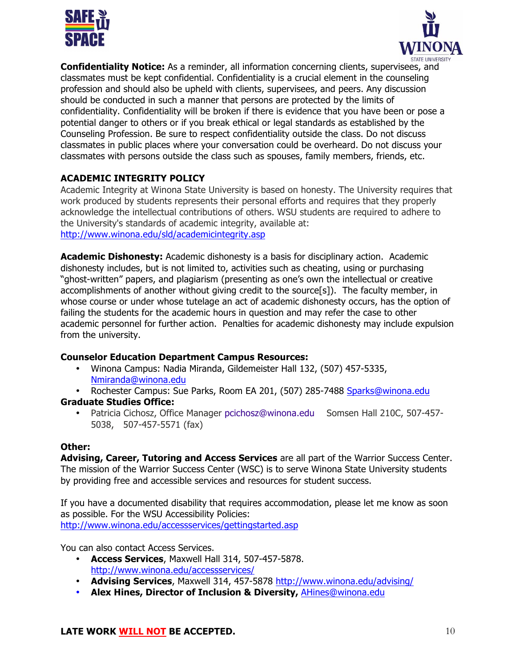



**Confidentiality Notice:** As a reminder, all information concerning clients, supervisees, and classmates must be kept confidential. Confidentiality is a crucial element in the counseling profession and should also be upheld with clients, supervisees, and peers. Any discussion should be conducted in such a manner that persons are protected by the limits of confidentiality. Confidentiality will be broken if there is evidence that you have been or pose a potential danger to others or if you break ethical or legal standards as established by the Counseling Profession. Be sure to respect confidentiality outside the class. Do not discuss classmates in public places where your conversation could be overheard. Do not discuss your classmates with persons outside the class such as spouses, family members, friends, etc.

# **ACADEMIC INTEGRITY POLICY**

Academic Integrity at Winona State University is based on honesty. The University requires that work produced by students represents their personal efforts and requires that they properly acknowledge the intellectual contributions of others. WSU students are required to adhere to the University's standards of academic integrity, available at: http://www.winona.edu/sld/academicintegrity.asp

**Academic Dishonesty:** Academic dishonesty is a basis for disciplinary action. Academic dishonesty includes, but is not limited to, activities such as cheating, using or purchasing "ghost-written" papers, and plagiarism (presenting as one's own the intellectual or creative accomplishments of another without giving credit to the source[s]). The faculty member, in whose course or under whose tutelage an act of academic dishonesty occurs, has the option of failing the students for the academic hours in question and may refer the case to other academic personnel for further action. Penalties for academic dishonesty may include expulsion from the university.

#### **Counselor Education Department Campus Resources:**

- Winona Campus: Nadia Miranda, Gildemeister Hall 132, (507) 457-5335, Nmiranda@winona.edu
- Rochester Campus: Sue Parks, Room EA 201, (507) 285-7488 Sparks@winona.edu

# **Graduate Studies Office:**

• Patricia Cichosz, Office Manager pcichosz@winona.edu Somsen Hall 210C, 507-457- 5038, 507-457-5571 (fax)

#### **Other:**

**Advising, Career, Tutoring and Access Services** are all part of the Warrior Success Center. The mission of the Warrior Success Center (WSC) is to serve Winona State University students by providing free and accessible services and resources for student success.

If you have a documented disability that requires accommodation, please let me know as soon as possible. For the WSU Accessibility Policies: http://www.winona.edu/accessservices/gettingstarted.asp

You can also contact Access Services.

- **Access Services**, Maxwell Hall 314, 507-457-5878. http://www.winona.edu/accessservices/
- **Advising Services**, Maxwell 314, 457-5878 http://www.winona.edu/advising/
- **Alex Hines, Director of Inclusion & Diversity,** AHines@winona.edu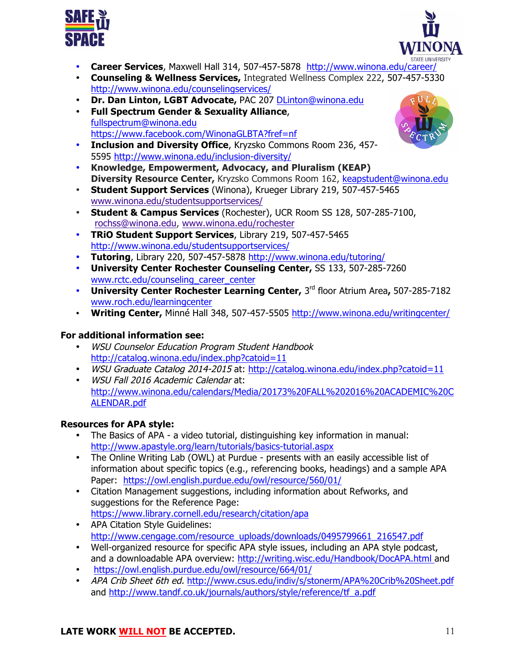



- **Career Services**, Maxwell Hall 314, 507-457-5878 http://www.winona.edu/career/
- **Counseling & Wellness Services,** Integrated Wellness Complex 222, 507-457-5330 http://www.winona.edu/counselingservices/
- **Dr. Dan Linton, LGBT Advocate,** PAC 207 DLinton@winona.edu
- **Full Spectrum Gender & Sexuality Alliance**, fullspectrum@winona.edu https://www.facebook.com/WinonaGLBTA?fref=nf
- **Inclusion and Diversity Office**, Kryzsko Commons Room 236, 457- 5595 http://www.winona.edu/inclusion-diversity/
- **Knowledge, Empowerment, Advocacy, and Pluralism (KEAP) Diversity Resource Center,** Kryzsko Commons Room 162, keapstudent@winona.edu
- **Student Support Services** (Winona), Krueger Library 219, 507-457-5465 www.winona.edu/studentsupportservices/
- **Student & Campus Services** (Rochester), UCR Room SS 128, 507-285-7100, rochss@winona.edu, www.winona.edu/rochester
- **TRiO Student Support Services**, Library 219, 507-457-5465 http://www.winona.edu/studentsupportservices/
- **Tutoring**, Library 220, 507-457-5878 http://www.winona.edu/tutoring/
- **University Center Rochester Counseling Center,** SS 133, 507-285-7260 www.rctc.edu/counseling\_career\_center
- **University Center Rochester Learning Center,** 3rd floor Atrium Area**,** 507-285-7182 www.roch.edu/learningcenter
- **Writing Center,** Minné Hall 348, 507-457-5505 http://www.winona.edu/writingcenter/

# **For additional information see:**

- WSU Counselor Education Program Student Handbook http://catalog.winona.edu/index.php?catoid=11
- WSU Graduate Catalog 2014-2015 at: http://catalog.winona.edu/index.php?catoid=11
- WSU Fall 2016 Academic Calendar at: http://www.winona.edu/calendars/Media/20173%20FALL%202016%20ACADEMIC%20C ALENDAR.pdf

# **Resources for APA style:**

- The Basics of APA a video tutorial, distinguishing key information in manual: http://www.apastyle.org/learn/tutorials/basics-tutorial.aspx
- The Online Writing Lab (OWL) at Purdue presents with an easily accessible list of information about specific topics (e.g., referencing books, headings) and a sample APA Paper: https://owl.english.purdue.edu/owl/resource/560/01/
- Citation Management suggestions, including information about Refworks, and suggestions for the Reference Page: https://www.library.cornell.edu/research/citation/apa
- APA Citation Style Guidelines: http://www.cengage.com/resource\_uploads/downloads/0495799661\_216547.pdf
- Well-organized resource for specific APA style issues, including an APA style podcast, and a downloadable APA overview: http://writing.wisc.edu/Handbook/DocAPA.html and
- https://owl.english.purdue.edu/owl/resource/664/01/
- APA Crib Sheet 6th ed. http://www.csus.edu/indiv/s/stonerm/APA%20Crib%20Sheet.pdf and http://www.tandf.co.uk/journals/authors/style/reference/tf\_a.pdf



# **LATE WORK WILL NOT BE ACCEPTED.** 11